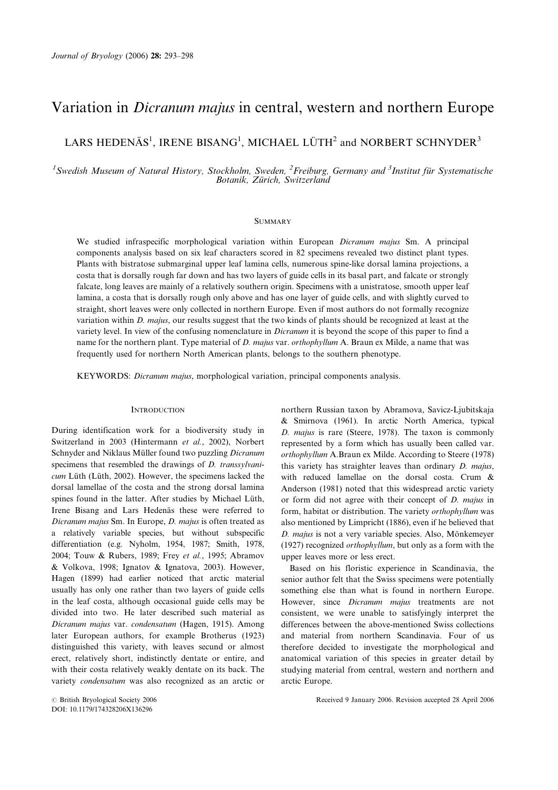# Variation in Dicranum majus in central, western and northern Europe

## LARS HEDENÄS<sup>1</sup>, IRENE BISANG<sup>1</sup>, MICHAEL LÜTH<sup>2</sup> and NORBERT SCHNYDER<sup>3</sup>

<sup>1</sup> Swedish Museum of Natural History, Stockholm, Sweden, <sup>2</sup> Freiburg, Germany and <sup>3</sup> Institut für Systematische Botanik, Zürich, Switzerland

## **SUMMARY**

We studied infraspecific morphological variation within European Dicranum majus Sm. A principal components analysis based on six leaf characters scored in 82 specimens revealed two distinct plant types. Plants with bistratose submarginal upper leaf lamina cells, numerous spine-like dorsal lamina projections, a costa that is dorsally rough far down and has two layers of guide cells in its basal part, and falcate or strongly falcate, long leaves are mainly of a relatively southern origin. Specimens with a unistratose, smooth upper leaf lamina, a costa that is dorsally rough only above and has one layer of guide cells, and with slightly curved to straight, short leaves were only collected in northern Europe. Even if most authors do not formally recognize variation within D. majus, our results suggest that the two kinds of plants should be recognized at least at the variety level. In view of the confusing nomenclature in Dicranum it is beyond the scope of this paper to find a name for the northern plant. Type material of D. majus var. orthophyllum A. Braun ex Milde, a name that was frequently used for northern North American plants, belongs to the southern phenotype.

KEYWORDS: Dicranum majus, morphological variation, principal components analysis.

## **INTRODUCTION**

During identification work for a biodiversity study in Switzerland in 2003 (Hintermann et al., 2002), Norbert Schnyder and Niklaus Müller found two puzzling Dicranum specimens that resembled the drawings of D. transsylvanicum Lüth (Lüth, 2002). However, the specimens lacked the dorsal lamellae of the costa and the strong dorsal lamina spines found in the latter. After studies by Michael Lüth, Irene Bisang and Lars Hedenäs these were referred to Dicranum majus Sm. In Europe, D. majus is often treated as a relatively variable species, but without subspecific differentiation (e.g. Nyholm, 1954, 1987; Smith, 1978, 2004; Touw & Rubers, 1989; Frey et al., 1995; Abramov & Volkova, 1998; Ignatov & Ignatova, 2003). However, Hagen (1899) had earlier noticed that arctic material usually has only one rather than two layers of guide cells in the leaf costa, although occasional guide cells may be divided into two. He later described such material as Dicranum majus var. condensatum (Hagen, 1915). Among later European authors, for example Brotherus (1923) distinguished this variety, with leaves secund or almost erect, relatively short, indistinctly dentate or entire, and with their costa relatively weakly dentate on its back. The variety condensatum was also recognized as an arctic or

northern Russian taxon by Abramova, Savicz-Ljubitskaja & Smirnova (1961). In arctic North America, typical D. majus is rare (Steere, 1978). The taxon is commonly represented by a form which has usually been called var. orthophyllum A.Braun ex Milde. According to Steere (1978) this variety has straighter leaves than ordinary D. majus, with reduced lamellae on the dorsal costa. Crum & Anderson (1981) noted that this widespread arctic variety or form did not agree with their concept of D. majus in form, habitat or distribution. The variety orthophyllum was also mentioned by Limpricht (1886), even if he believed that D. majus is not a very variable species. Also, Mönkemeyer (1927) recognized orthophyllum, but only as a form with the upper leaves more or less erect.

Based on his floristic experience in Scandinavia, the senior author felt that the Swiss specimens were potentially something else than what is found in northern Europe. However, since Dicranum majus treatments are not consistent, we were unable to satisfyingly interpret the differences between the above-mentioned Swiss collections and material from northern Scandinavia. Four of us therefore decided to investigate the morphological and anatomical variation of this species in greater detail by studying material from central, western and northern and arctic Europe.

*#* British Bryological Society 2006 Received 9 January 2006. Revision accepted 28 April 2006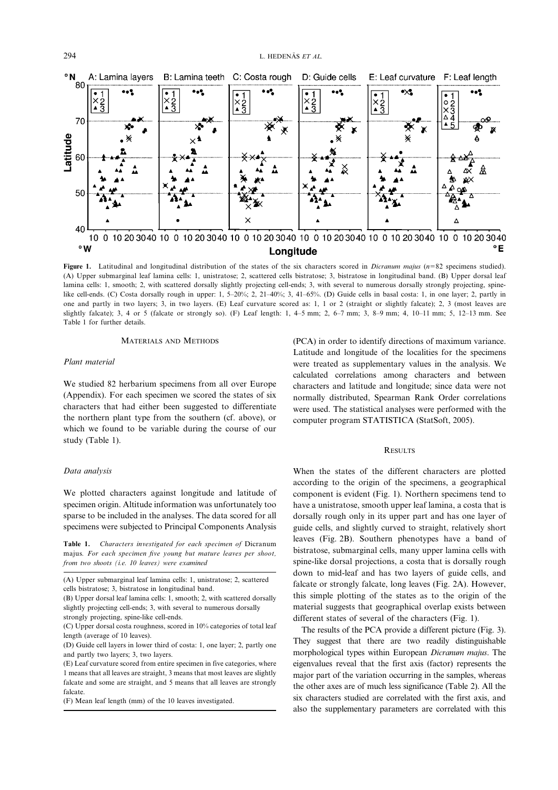

Figure 1. Latitudinal and longitudinal distribution of the states of the six characters scored in *Dicranum majus* ( $n=82$  specimens studied). (A) Upper submarginal leaf lamina cells: 1, unistratose; 2, scattered cells bistratose; 3, bistratose in longitudinal band. (B) Upper dorsal leaf lamina cells: 1, smooth; 2, with scattered dorsally slightly projecting cell-ends; 3, with several to numerous dorsally strongly projecting, spinelike cell-ends. (C) Costa dorsally rough in upper: 1, 5–20%; 2, 21–40%; 3, 41–65%. (D) Guide cells in basal costa: 1, in one layer; 2, partly in one and partly in two layers; 3, in two layers. (E) Leaf curvature scored as: 1, 1 or 2 (straight or slightly falcate); 2, 3 (most leaves are slightly falcate); 3, 4 or 5 (falcate or strongly so). (F) Leaf length: 1, 4–5 mm; 2, 6–7 mm; 3, 8–9 mm; 4, 10–11 mm; 5, 12–13 mm. See Table 1 for further details.

#### MATERIALS AND METHODS

#### Plant material

We studied 82 herbarium specimens from all over Europe (Appendix). For each specimen we scored the states of six characters that had either been suggested to differentiate the northern plant type from the southern (cf. above), or which we found to be variable during the course of our study (Table 1).

#### Data analysis

We plotted characters against longitude and latitude of specimen origin. Altitude information was unfortunately too sparse to be included in the analyses. The data scored for all specimens were subjected to Principal Components Analysis

Table 1. Characters investigated for each specimen of Dicranum majus. For each specimen five young but mature leaves per shoot, from two shoots (i.e. 10 leaves) were examined

(A) Upper submarginal leaf lamina cells: 1, unistratose; 2, scattered cells bistratose; 3, bistratose in longitudinal band.

(B) Upper dorsal leaf lamina cells: 1, smooth; 2, with scattered dorsally slightly projecting cell-ends; 3, with several to numerous dorsally strongly projecting, spine-like cell-ends.

(C) Upper dorsal costa roughness, scored in 10% categories of total leaf length (average of 10 leaves).

(D) Guide cell layers in lower third of costa: 1, one layer; 2, partly one and partly two layers; 3, two layers.

(E) Leaf curvature scored from entire specimen in five categories, where 1 means that all leaves are straight, 3 means that most leaves are slightly falcate and some are straight, and 5 means that all leaves are strongly falcate.

(F) Mean leaf length (mm) of the 10 leaves investigated.

(PCA) in order to identify directions of maximum variance. Latitude and longitude of the localities for the specimens were treated as supplementary values in the analysis. We calculated correlations among characters and between characters and latitude and longitude; since data were not normally distributed, Spearman Rank Order correlations were used. The statistical analyses were performed with the computer program STATISTICA (StatSoft, 2005).

## **RESULTS**

When the states of the different characters are plotted according to the origin of the specimens, a geographical component is evident (Fig. 1). Northern specimens tend to have a unistratose, smooth upper leaf lamina, a costa that is dorsally rough only in its upper part and has one layer of guide cells, and slightly curved to straight, relatively short leaves (Fig. 2B). Southern phenotypes have a band of bistratose, submarginal cells, many upper lamina cells with spine-like dorsal projections, a costa that is dorsally rough down to mid-leaf and has two layers of guide cells, and falcate or strongly falcate, long leaves (Fig. 2A). However, this simple plotting of the states as to the origin of the material suggests that geographical overlap exists between different states of several of the characters (Fig. 1).

The results of the PCA provide a different picture (Fig. 3). They suggest that there are two readily distinguishable morphological types within European Dicranum majus. The eigenvalues reveal that the first axis (factor) represents the major part of the variation occurring in the samples, whereas the other axes are of much less significance (Table 2). All the six characters studied are correlated with the first axis, and also the supplementary parameters are correlated with this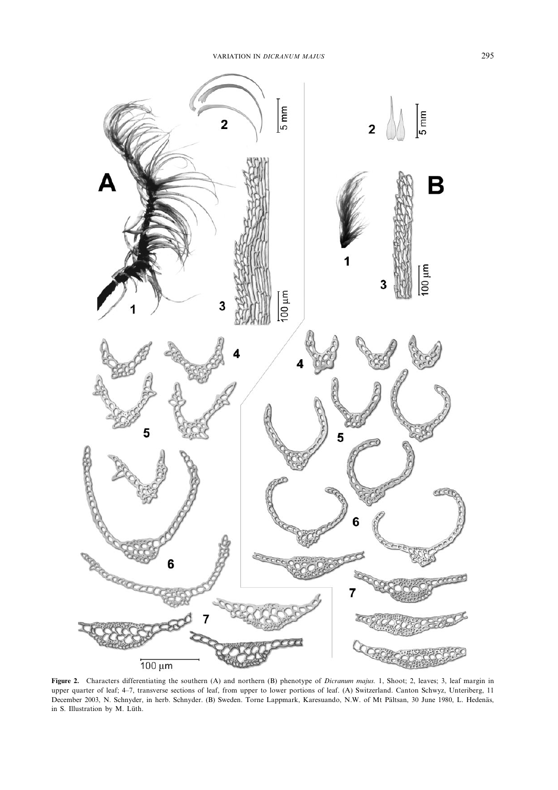

Figure 2. Characters differentiating the southern (A) and northern (B) phenotype of Dicranum majus. 1, Shoot; 2, leaves; 3, leaf margin in upper quarter of leaf; 4–7, transverse sections of leaf, from upper to lower portions of leaf. (A) Switzerland. Canton Schwyz, Unteriberg, 11 December 2003, N. Schnyder, in herb. Schnyder. (B) Sweden. Torne Lappmark, Karesuando, N.W. of Mt Pältsan, 30 June 1980, L. Hedenäs, in S. Illustration by M. Lüth.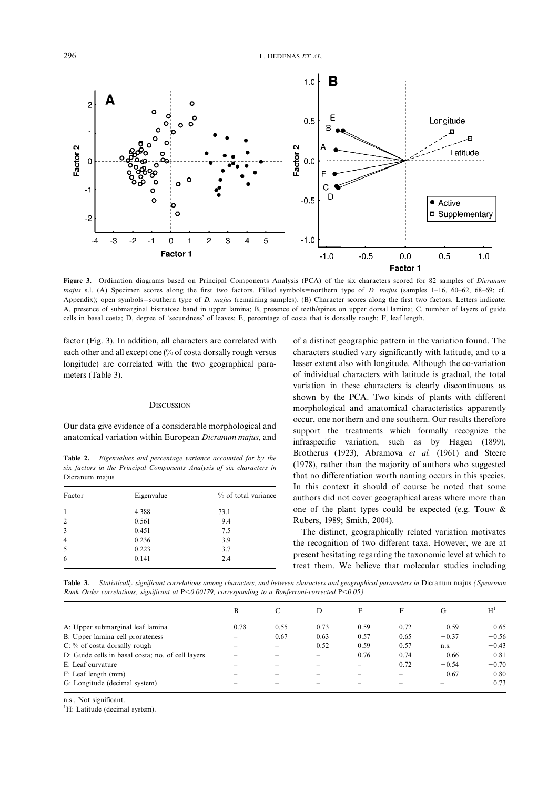

Figure 3. Ordination diagrams based on Principal Components Analysis (PCA) of the six characters scored for 82 samples of Dicranum majus s.l. (A) Specimen scores along the first two factors. Filled symbols=northern type of D. majus (samples 1-16, 60–62, 68–69; cf. Appendix); open symbols=southern type of D. majus (remaining samples). (B) Character scores along the first two factors. Letters indicate: A, presence of submarginal bistratose band in upper lamina; B, presence of teeth/spines on upper dorsal lamina; C, number of layers of guide cells in basal costa; D, degree of 'secundness' of leaves; E, percentage of costa that is dorsally rough; F, leaf length.

factor (Fig. 3). In addition, all characters are correlated with each other and all except one (% of costa dorsally rough versus longitude) are correlated with the two geographical parameters (Table 3).

## **DISCUSSION**

Our data give evidence of a considerable morphological and anatomical variation within European Dicranum majus, and

Table 2. Eigenvalues and percentage variance accounted for by the six factors in the Principal Components Analysis of six characters in Dicranum majus

| Factor         | Eigenvalue | % of total variance |  |  |  |
|----------------|------------|---------------------|--|--|--|
| 1              | 4.388      | 73.1                |  |  |  |
| $\overline{2}$ | 0.561      | 9.4                 |  |  |  |
| 3              | 0.451      | 7.5                 |  |  |  |
| 4              | 0.236      | 3.9                 |  |  |  |
| 5              | 0.223      | 3.7                 |  |  |  |
| 6              | 0.141      | 2.4                 |  |  |  |

of a distinct geographic pattern in the variation found. The characters studied vary significantly with latitude, and to a lesser extent also with longitude. Although the co-variation of individual characters with latitude is gradual, the total variation in these characters is clearly discontinuous as shown by the PCA. Two kinds of plants with different morphological and anatomical characteristics apparently occur, one northern and one southern. Our results therefore support the treatments which formally recognize the infraspecific variation, such as by Hagen (1899), Brotherus (1923), Abramova et al. (1961) and Steere (1978), rather than the majority of authors who suggested that no differentiation worth naming occurs in this species. In this context it should of course be noted that some authors did not cover geographical areas where more than one of the plant types could be expected (e.g. Touw & Rubers, 1989; Smith, 2004).

The distinct, geographically related variation motivates the recognition of two different taxa. However, we are at present hesitating regarding the taxonomic level at which to treat them. We believe that molecular studies including

Table 3. Statistically significant correlations among characters, and between characters and geographical parameters in Dicranum majus (Spearman Rank Order correlations; significant at  $P<0.00179$ , corresponding to a Bonferroni-corrected  $P<0.05$ )

|                                                   | B                        | C    | D    | E    | F                        | G       | H <sup>T</sup> |
|---------------------------------------------------|--------------------------|------|------|------|--------------------------|---------|----------------|
| A: Upper submarginal leaf lamina                  | 0.78                     | 0.55 | 0.73 | 0.59 | 0.72                     | $-0.59$ | $-0.65$        |
| B: Upper lamina cell prorateness                  | $\overline{\phantom{0}}$ | 0.67 | 0.63 | 0.57 | 0.65                     | $-0.37$ | $-0.56$        |
| $C:$ % of costa dorsally rough                    |                          | -    | 0.52 | 0.59 | 0.57                     | n.s.    | $-0.43$        |
| D: Guide cells in basal costa; no. of cell layers | -                        |      |      | 0.76 | 0.74                     | $-0.66$ | $-0.81$        |
| E: Leaf curvature                                 |                          |      |      |      | 0.72                     | $-0.54$ | $-0.70$        |
| F: Leaf length (mm)                               | -                        |      |      |      | $\overline{\phantom{0}}$ | $-0.67$ | $-0.80$        |
| G: Longitude (decimal system)                     |                          |      |      |      |                          |         | 0.73           |

n.s., Not significant.

<sup>1</sup>H: Latitude (decimal system).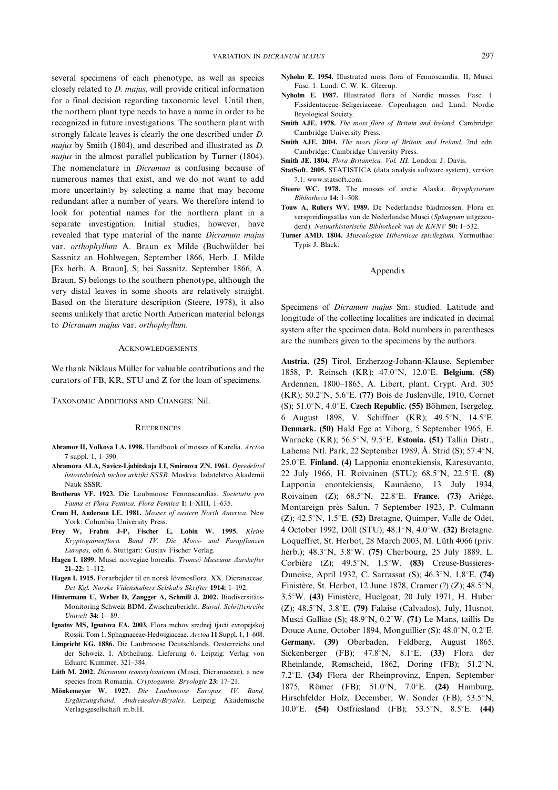several specimens of each phenotype, as well as species closely related to D. majus, will provide critical information for a final decision regarding taxonomic level. Until then, the northern plant type needs to have a name in order to be recognized in future investigations. The southern plant with strongly falcate leaves is clearly the one described under D. majus by Smith (1804), and described and illustrated as D. majus in the almost parallel publication by Turner (1804). The nomenclature in *Dicranum* is confusing because of numerous names that exist, and we do not want to add more uncertainty by selecting a name that may become redundant after a number of years. We therefore intend to look for potential names for the northern plant in a separate investigation. Initial studies, however, have revealed that type material of the name Dicranum majus var. orthophyllum A. Braun ex Milde (Buchwälder bei Sassnitz an Hohlwegen, September 1866, Herb. J. Milde [Ex herb. A. Braun], S; bei Sassnitz. September 1866, A. Braun, S) belongs to the southern phenotype, although the very distal leaves in some shoots are relatively straight. Based on the literature description (Steere, 1978), it also seems unlikely that arctic North American material belongs to Dicranum majus var. orthophyllum.

#### ACKNOWLEDGEMENTS

We thank Niklaus Müller for valuable contributions and the curators of FB, KR, STU and Z for the loan of specimens.

TAXONOMIC ADDITIONS AND CHANGES: Nil.

#### REFERENCES

- Abramov II, Volkova LA. 1998. Handbook of mosses of Karelia. Arctoa  $7 \text{ sun}$  1, 1–390.
- Abramova ALA, Savicz-Ljubitskaja LI, Smirnova ZN. 1961. Opredelitel listostebelnich mchov arktiki SSSR. Moskva: Izdatelstvo Akademii Nauk SSSR.
- Brotherus VF. 1923. Die Laubmoose Fennoscandias. Societatis pro Fauna et Flora Fennica, Flora Fennica 1: I–XIII, 1–635.
- Crum H, Anderson LE. 1981. Mosses of eastern North America. New York: Columbia University Press.
- Frey W, Frahm J-P, Fischer E, Lobin W. 1995. Kleine Kryptogamenflora. Band IV. Die Moos- und Farnpflanzen Europas, edn 6. Stuttgart: Gustav Fischer Verlag.
- Hagen I. 1899. Musci norvegiae borealis. Tromsö Museums Aarshefter 21–22: 1–112.
- Hagen I. 1915. Forarbejder til en norsk lövmosflora. XX. Dicranaceae. Det Kgl. Norske Videnskabers Selskabs Skrifter 1914: 1–192.
- Hintermann U, Weber D, Zangger A, Schmill J. 2002. Biodiversitäts-Monitoring Schweiz BDM. Zwischenbericht. Buwal, Schriftenreihe Umwelt 34: 1– 89.
- Ignatov MS, Ignatova EA. 2003. Flora mchov srednej tjacti evropejskoj Rossii. Tom 1. Sphagnaceae-Hedwigiaceae. Arctoa 11 Suppl. 1, 1–608.
- Limpricht KG. 1886. Die Laubmoose Deutschlands, Oesterreichs und der Schweiz. I. Abtheilung. Lieferung 6. Leipzig: Verlag von Eduard Kummer, 321–384.
- Lüth M. 2002. Dicranum transsylvanicum (Musci, Dicranaceae), a new species from Romania. Cryptogamie, Bryologie 23: 17–21.
- Mönkemeyer W. 1927. Die Laubmoose Europas. IV. Band, Ergänzungsband. Andreaeales-Bryales. Leipzig: Akademische Verlagsgesellschaft m.b.H.
- Nyholm E. 1954. Illustrated moss flora of Fennoscandia. II, Musci. Fasc. 1. Lund: C. W. K. Gleerup.
- Nyholm E. 1987. Illustrated flora of Nordic mosses. Fasc. 1. Fissidentaceae–Seligeriaceae. Copenhagen and Lund: Nordic Bryological Society.
- Smith AJE. 1978. The moss flora of Britain and Ireland. Cambridge: Cambridge University Press.
- Smith AJE. 2004. The moss flora of Britain and Ireland, 2nd edn. Cambridge: Cambridge University Press.
- Smith JE. 1804. Flora Britannica. Vol. III. London: J. Davis.
- StatSoft. 2005. STATISTICA (data analysis software system), version 7.1. www.statsoft.com.
- Steere WC. 1978. The mosses of arctic Alaska. Bryophytorum Bibliotheca 14: 1–508.
- Touw A, Rubers WV. 1989. De Nederlandse bladmossen. Flora en verspreidingsatlas van de Nederlandse Musci (Sphagnum uitgezonderd). Natuurhistorische Bibliotheek van de KNNV 50: 1-532.
- Turner AMD. 1804. Muscologiae Hibernicae spicilegium. Yermuthae: Typis J. Black.

## Appendix

Specimens of Dicranum majus Sm. studied. Latitude and longitude of the collecting localities are indicated in decimal system after the specimen data. Bold numbers in parentheses are the numbers given to the specimens by the authors.

Austria. (25) Tirol, Erzherzog-Johann-Klause, September 1858, P. Reinsch (KR); 47.0°N, 12.0°E. Belgium. (58) Ardennen, 1800–1865, A. Libert, plant. Crypt. Ard. 305 (KR); 50.2 $\mathrm{N}$ , 5.6 $\mathrm{E}$ . (77) Bois de Juslenville, 1910, Cornet (S); 51.0 $\textdegree$ N, 4.0 $\textdegree$ E. Czech Republic. (55) Böhmen, Isergeleg, 6 August 1898, V. Schiffner (KR); 49.5°N, 14.5°E. Denmark. (50) Hald Ege at Viborg, 5 September 1965, E. Warncke (KR):  $56.5^{\circ}$ N,  $9.5^{\circ}$ E. Estonia. (51) Tallin Distr., Lahema Ntl. Park, 22 September 1989, Å. Strid (S);  $57.4^{\circ}N$ ,  $25.0^{\circ}$ E. Finland. (4) Lapponia enontekiensis, Karesuvanto, 22 July 1966, H. Roivainen (STU); 68.5°N, 22.5°E. (8) Lapponia enontekiensis, Kaunäeno, 13 July 1934, Roivainen (Z);  $68.5^{\circ}N$ , 22.8 $^{\circ}E$ . France. (73) Ariège, Montareign près Salun, 7 September 1923, P. Culmann (Z);  $42.5^{\circ}N$ ,  $1.5^{\circ}E$ . (52) Bretagne, Quimper, Valle de Odet, 4 October 1992, Düll (STU);  $48.1^{\circ}$ N,  $4.0^{\circ}$ W. (32) Bretagne. Loqueffret, St. Herbot, 28 March 2003, M. Lüth 4066 (priv. herb.);  $48.3^{\circ}N$ ,  $3.8^{\circ}W$ . (75) Cherbourg, 25 July 1889, L. Corbière (Z); 49.5°N, 1.5°W. (83) Creuse-Bussieres-Dunoise, April 1932, C. Sarrassat (S); 46.3°N, 1.8°E. (74) Finistère, St. Herbot, 12 June 1878, Cramer (?) (Z);  $48.5^{\circ}N$ , 3.5°W. (43) Finistère, Huelgoat, 20 July 1971, H. Huber  $(Z)$ ; 48.5°N, 3.8°E. (79) Falaise (Calvados), July, Husnot, Musci Galliae (S);  $48.9^{\circ}$ N,  $0.2^{\circ}$ W. (71) Le Mans, taillis De Douce Aune, October 1894, Monguillier (S); 48.0°N, 0.2°E. Germany. (39) Oberbaden, Feldberg, August 1865, Sickenberger (FB);  $47.8^{\circ}N$ ,  $8.1^{\circ}E$ . (33) Flora der Rheinlande, Remscheid, 1862, Doring (FB); 51.2°N, 7.2 $E$ . (34) Flora der Rheinprovinz, Enpen, September 1875, Römer (FB); 51.0°N, 7.0°E.  $(24)$  Hamburg, Hirschfelder Holz, December, W. Sonder (FB); 53.5°N, 10.0°E. (54) Ostfriesland (FB); 53.5°N, 8.5°E. (44)